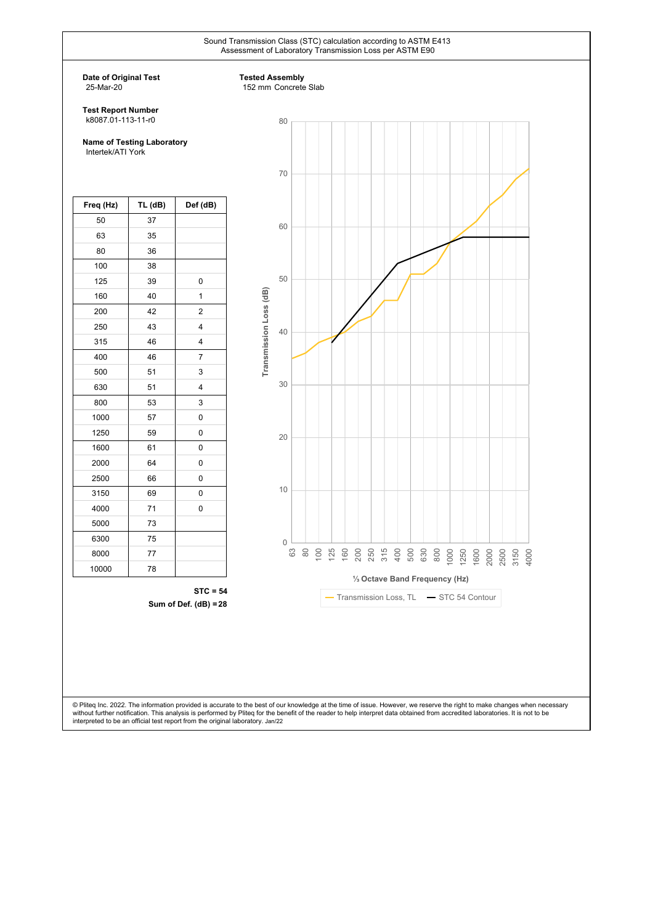Sound Transmission Class (STC) calculation according to ASTM E413 Assessment of Laboratory Transmission Loss per ASTM E90

**Date of Original Test** 25-Mar-20

#### **Tested Assembly**

152 mm Concrete Slab

**Test Report Number** k8087.01-113-11-r0

**Name of Testing Laboratory** Intertek/ATI York

| Freq (Hz) | TL (dB) | Def (dB)                |
|-----------|---------|-------------------------|
| 50        | 37      |                         |
| 63        | 35      |                         |
| 80        | 36      |                         |
| 100       | 38      |                         |
| 125       | 39      | 0                       |
| 160       | 40      | 1                       |
| 200       | 42      | 2                       |
| 250       | 43      | $\overline{\mathbf{4}}$ |
| 315       | 46      | 4                       |
| 400       | 46      | $\overline{7}$          |
| 500       | 51      | 3                       |
| 630       | 51      | 4                       |
| 800       | 53      | 3                       |
| 1000      | 57      | 0                       |
| 1250      | 59      | 0                       |
| 1600      | 61      | 0                       |
| 2000      | 64      | 0                       |
| 2500      | 66      | 0                       |
| 3150      | 69      | 0                       |
| 4000      | 71      | 0                       |
| 5000      | 73      |                         |
| 6300      | 75      |                         |
| 8000      | 77      |                         |
| 10000     | 78      |                         |

**STC = 54 Sum of Def. (dB) = 28**



© Pliteq Inc. 2022. The information provided is accurate to the best of our knowledge at the time of issue. However, we reserve the right to make changes when necessary without further notification. This analysis is performed by Pliteq for the benefit of the reader to help interpret data obtained from accredited laboratories. It is not to be<br>interpreted to be an official test report from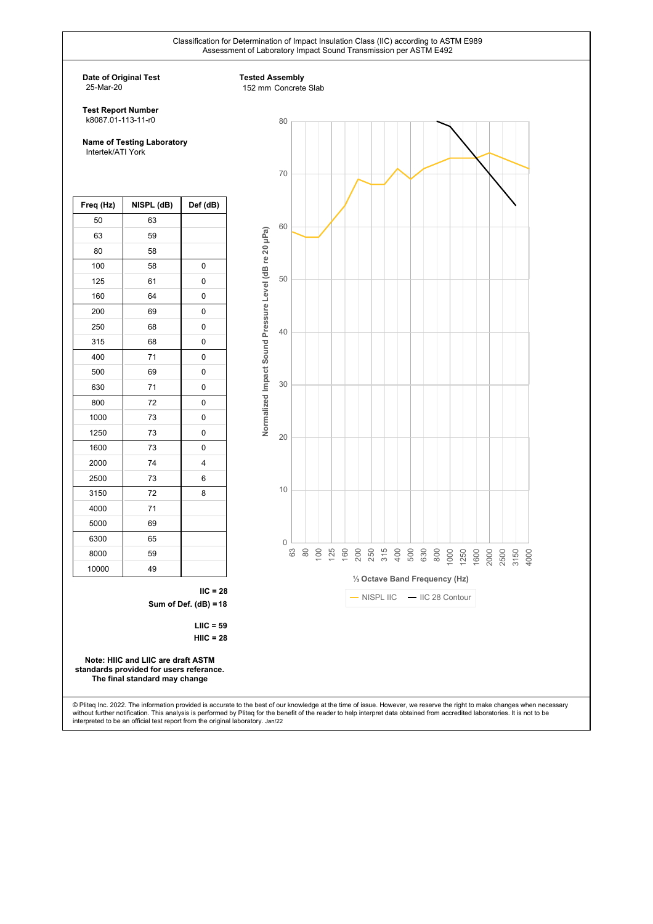Classification for Determination of Impact Insulation Class (IIC) according to ASTM E989



© Pliteq Inc. 2022. The information provided is accurate to the best of our knowledge at the time of issue. However, we reserve the right to make changes when necessary without further notification. This analysis is performed by Pliteq for the benefit of the reader to help interpret data obtained from accredited laboratories. It is not to be<br>interpreted to be an official test report from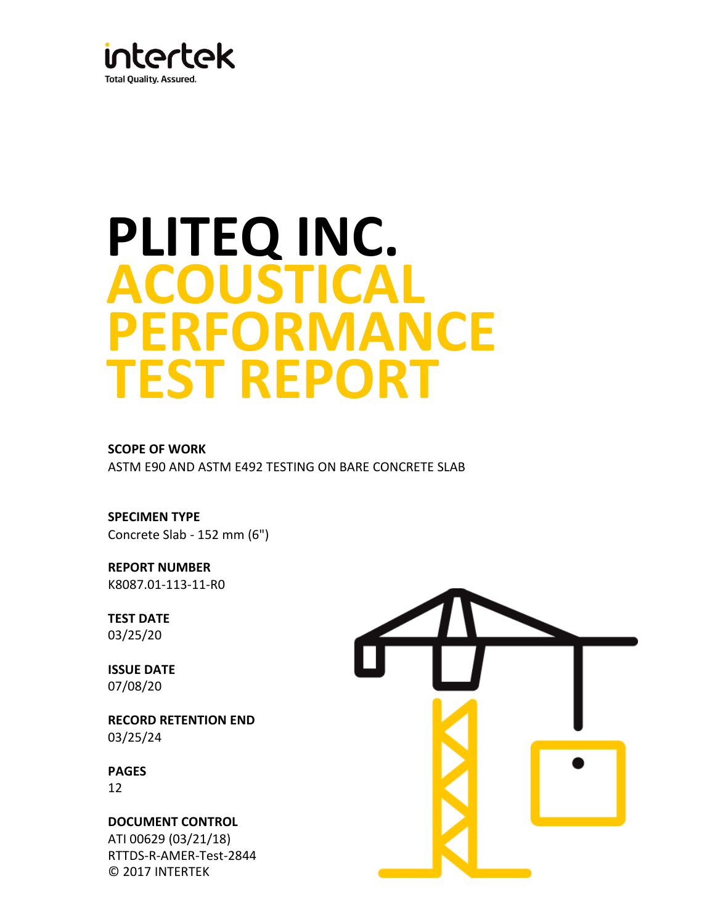

# **TEST REPORT ACOUSTICAL PERFORMANCE PLITEQ INC.**

**SCOPE OF WORK** ASTM E90 AND ASTM E492 TESTING ON BARE CONCRETE SLAB

**SPECIMEN TYPE** Concrete Slab - 152 mm (6")

**REPORT NUMBER** K8087.01-113-11-R0

**TEST DATE** 03/25/20

**ISSUE DATE** 07/08/20

**RECORD RETENTION END**  03/25/24

12 **PAGES**

**DOCUMENT CONTROL**  ATI 00629 (03/21/18) RTTDS-R-AMER-Test-2844 © 2017 INTERTEK

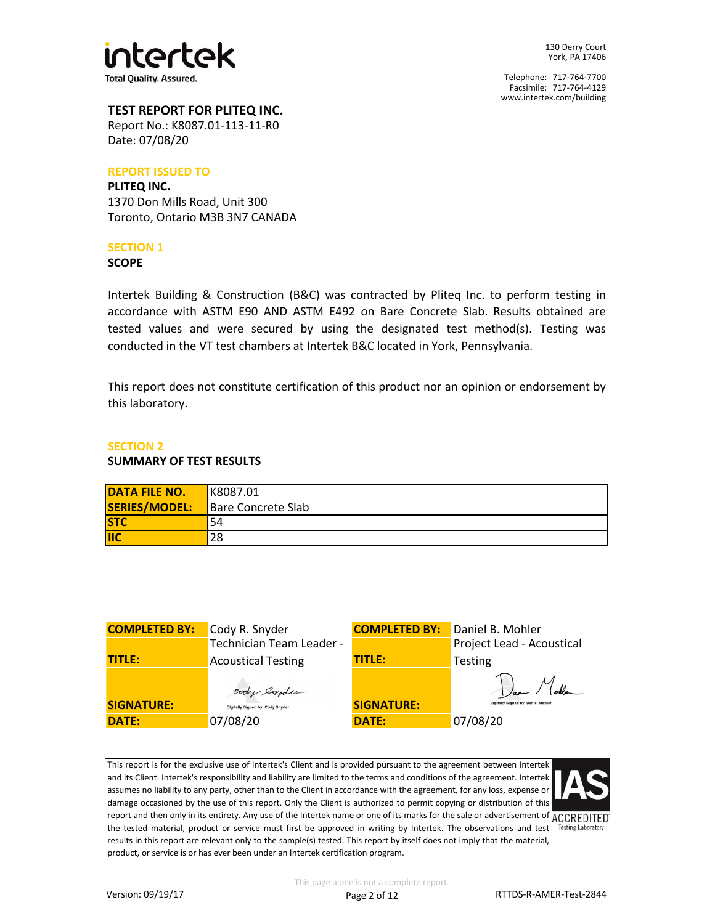

# **TEST REPORT FOR PLITEQ INC.**

Date: 07/08/20 Report No.: K8087.01-113-11-R0

#### **REPORT ISSUED TO**

# **PLITEQ INC.** 1370 Don Mills Road, Unit 300 Toronto, Ontario M3B 3N7 CANADA

#### **SECTION 1**

#### **SCOPE**

Intertek Building & Construction (B&C) was contracted by Pliteq Inc. to perform testing in accordance with ASTM E90 AND ASTM E492 on Bare Concrete Slab. Results obtained are tested values and were secured by using the designated test method(s). Testing was conducted in the VT test chambers at Intertek B&C located in York, Pennsylvania.

This report does not constitute certification of this product nor an opinion or endorsement by this laboratory.

#### **SECTION 2**

#### **SUMMARY OF TEST RESULTS**

| <b>DATA FILE NO.</b> | K8087.01           |
|----------------------|--------------------|
| SERIES/MODEL:        | Bare Concrete Slab |
| <b>STC</b>           | 54                 |
| <b>IIC</b>           | 28                 |

| <b>COMPLETED BY:</b> | Cody R. Snyder                   | <b>COMPLETED BY:</b> | Daniel B. Mohler                   |
|----------------------|----------------------------------|----------------------|------------------------------------|
|                      | Technician Team Leader -         |                      | Project Lead - Acoustical          |
| <b>TITLE:</b>        | <b>Acoustical Testing</b>        | <b>TITLE:</b>        | <b>Testing</b>                     |
|                      | cody emplem                      |                      | Var Molle                          |
| <b>SIGNATURE:</b>    | Digitally Signed by: Cody Snyder | <b>SIGNATURE:</b>    | Digitally Signed by: Daniel Mohler |
| <b>DATE:</b>         | 07/08/20                         | DATE:                | 07/08/20                           |

This report is for the exclusive use of Intertek's Client and is provided pursuant to the agreement between Intertek and its Client. Intertek's responsibility and liability are limited to the terms and conditions of the agreement. Intertek assumes no liability to any party, other than to the Client in accordance with the agreement, for any loss, expense or damage occasioned by the use of this report. Only the Client is authorized to permit copying or distribution of this report and then only in its entirety. Any use of the Intertek name or one of its marks for the sale or advertisement of  $\overline{ACCREDITED}$ the tested material, product or service must first be approved in writing by Intertek. The observations and test Testing Laboratory results in this report are relevant only to the sample(s) tested. This report by itself does not imply that the material, product, or service is or has ever been under an Intertek certification program.

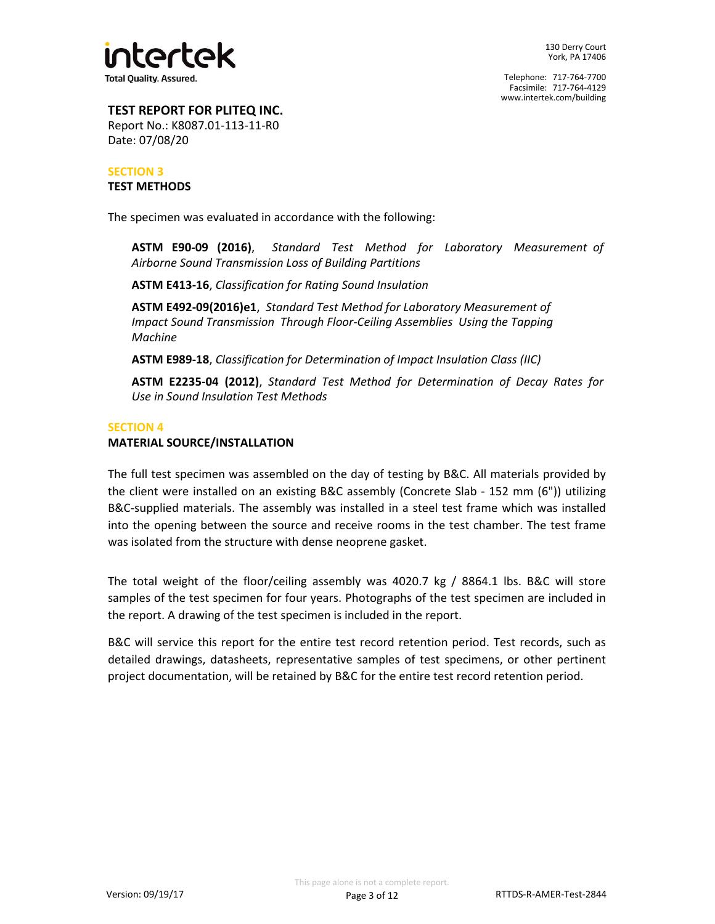

# **TEST REPORT FOR PLITEQ INC.**

Date: 07/08/20 Report No.: K8087.01-113-11-R0

## **TEST METHODS SECTION 3**

The specimen was evaluated in accordance with the following:

**ASTM E90-09 (2016)**, *Standard Test Method for Laboratory Measurement of Airborne Sound Transmission Loss of Building Partitions*

**ASTM E413-16**, *Classification for Rating Sound Insulation*

*Machine* **ASTM E492-09(2016)e1**, *Standard Test Method for Laboratory Measurement of Impact Sound Transmission Through Floor-Ceiling Assemblies Using the Tapping* 

**ASTM E989-18**, *Classification for Determination of Impact Insulation Class (IIC)*

*Use in Sound Insulation Test Methods* **ASTM E2235-04 (2012)**, *Standard Test Method for Determination of Decay Rates for*

#### **SECTION 4**

## **MATERIAL SOURCE/INSTALLATION**

The full test specimen was assembled on the day of testing by B&C. All materials provided by the client were installed on an existing B&C assembly (Concrete Slab - 152 mm (6")) utilizing B&C-supplied materials. The assembly was installed in a steel test frame which was installed into the opening between the source and receive rooms in the test chamber. The test frame was isolated from the structure with dense neoprene gasket.

The total weight of the floor/ceiling assembly was 4020.7 kg / 8864.1 lbs. B&C will store samples of the test specimen for four years. Photographs of the test specimen are included in the report. A drawing of the test specimen is included in the report.

B&C will service this report for the entire test record retention period. Test records, such as detailed drawings, datasheets, representative samples of test specimens, or other pertinent project documentation, will be retained by B&C for the entire test record retention period.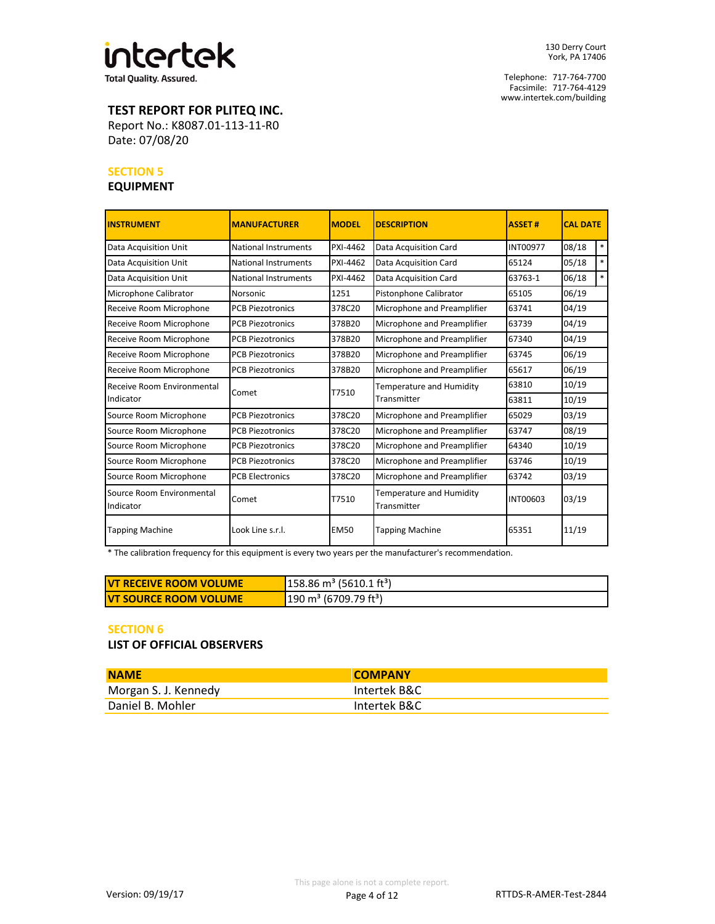

Telephone: 717-764-7700 Facsimile: 717-764-4129 www.intertek.com/building

# **TEST REPORT FOR PLITEQ INC.**

Date: 07/08/20 Report No.: K8087.01-113-11-R0

#### **SECTION 5**

#### **EQUIPMENT**

| <b>INSTRUMENT</b>                      | <b>MANUFACTURER</b>         | <b>MODFL</b> | <b>DESCRIPTION</b>                      | <b>ASSET#</b>   | <b>CAL DATE</b> |
|----------------------------------------|-----------------------------|--------------|-----------------------------------------|-----------------|-----------------|
| Data Acquisition Unit                  | <b>National Instruments</b> | PXI-4462     | Data Acquisition Card                   | <b>INT00977</b> | $\ast$<br>08/18 |
| Data Acquisition Unit                  | <b>National Instruments</b> | PXI-4462     | Data Acquisition Card                   | 65124           | $*$<br>05/18    |
| Data Acquisition Unit                  | National Instruments        | PXI-4462     | Data Acquisition Card                   | 63763-1         | $\ast$<br>06/18 |
| Microphone Calibrator                  | Norsonic                    | 1251         | Pistonphone Calibrator                  | 65105           | 06/19           |
| Receive Room Microphone                | <b>PCB Piezotronics</b>     | 378C20       | Microphone and Preamplifier             | 63741           | 04/19           |
| Receive Room Microphone                | <b>PCB Piezotronics</b>     | 378B20       | Microphone and Preamplifier             | 63739           | 04/19           |
| Receive Room Microphone                | <b>PCB Piezotronics</b>     | 378B20       | Microphone and Preamplifier             | 67340           | 04/19           |
| Receive Room Microphone                | <b>PCB Piezotronics</b>     | 378B20       | Microphone and Preamplifier             | 63745           | 06/19           |
| Receive Room Microphone                | <b>PCB Piezotronics</b>     | 378B20       | Microphone and Preamplifier             | 65617           | 06/19           |
| Receive Room Environmental             |                             | T7510        | Temperature and Humidity                | 63810           | 10/19           |
| Indicator                              | Comet                       |              | Transmitter                             | 63811           | 10/19           |
| Source Room Microphone                 | <b>PCB Piezotronics</b>     | 378C20       | Microphone and Preamplifier             | 65029           | 03/19           |
| Source Room Microphone                 | <b>PCB Piezotronics</b>     | 378C20       | Microphone and Preamplifier             | 63747           | 08/19           |
| Source Room Microphone                 | <b>PCB Piezotronics</b>     | 378C20       | Microphone and Preamplifier             | 64340           | 10/19           |
| Source Room Microphone                 | <b>PCB Piezotronics</b>     | 378C20       | Microphone and Preamplifier             | 63746           | 10/19           |
| Source Room Microphone                 | <b>PCB Electronics</b>      | 378C20       | Microphone and Preamplifier             | 63742           | 03/19           |
| Source Room Environmental<br>Indicator | Comet                       | T7510        | Temperature and Humidity<br>Transmitter | <b>INT00603</b> | 03/19           |
| <b>Tapping Machine</b>                 | Look Line s.r.l.            | <b>EM50</b>  | <b>Tapping Machine</b>                  | 65351           | 11/19           |

\* The calibration frequency for this equipment is every two years per the manufacturer's recommendation.

| <b>IVT RECEIVE ROOM VOLUME</b> | $158.86 \text{ m}^3$ (5610.1 ft <sup>3</sup> ) |
|--------------------------------|------------------------------------------------|
| <b>IVT SOURCE ROOM VOLUME</b>  | $190 \text{ m}^3$ (6709.79 ft <sup>3</sup> )   |

#### **SECTION 6**

**LIST OF OFFICIAL OBSERVERS**

| <b>NAME</b>          | <b>COMPANY</b> |
|----------------------|----------------|
| Morgan S. J. Kennedy | Intertek B&C   |
| Daniel B. Mohler     | Intertek B&C   |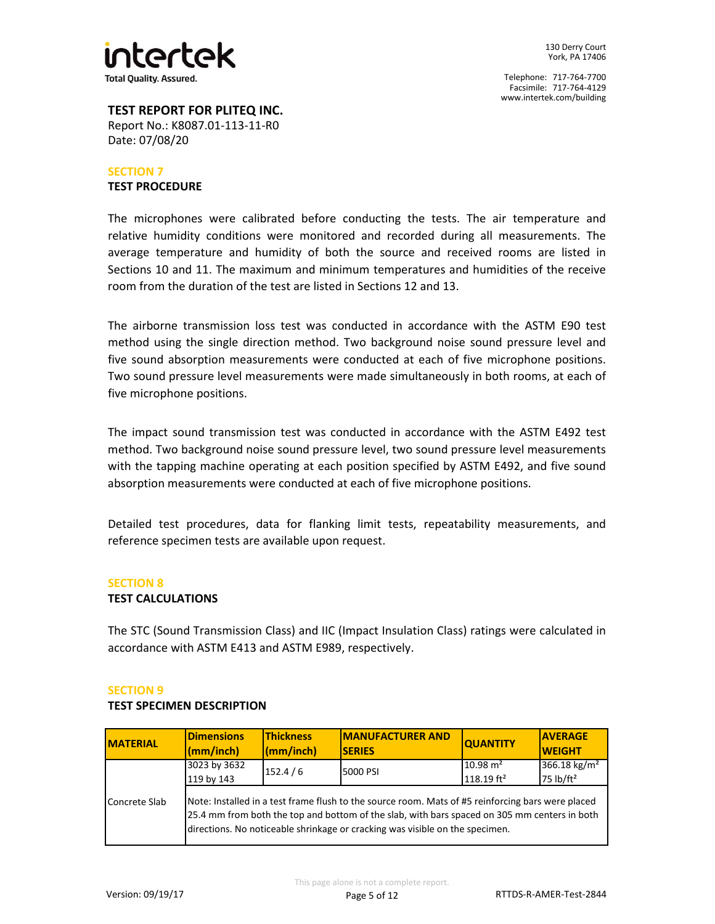

# **TEST REPORT FOR PLITEQ INC.** Report No.: K8087.01-113-11-R0

## **SECTION 7 TEST PROCEDURE**

Date: 07/08/20

The microphones were calibrated before conducting the tests. The air temperature and relative humidity conditions were monitored and recorded during all measurements. The average temperature and humidity of both the source and received rooms are listed in Sections 10 and 11. The maximum and minimum temperatures and humidities of the receive room from the duration of the test are listed in Sections 12 and 13.

The airborne transmission loss test was conducted in accordance with the ASTM E90 test method using the single direction method. Two background noise sound pressure level and five sound absorption measurements were conducted at each of five microphone positions. Two sound pressure level measurements were made simultaneously in both rooms, at each of five microphone positions.

The impact sound transmission test was conducted in accordance with the ASTM E492 test method. Two background noise sound pressure level, two sound pressure level measurements with the tapping machine operating at each position specified by ASTM E492, and five sound absorption measurements were conducted at each of five microphone positions.

Detailed test procedures, data for flanking limit tests, repeatability measurements, and reference specimen tests are available upon request.

# **SECTION 8**

# **TEST CALCULATIONS**

The STC (Sound Transmission Class) and IIC (Impact Insulation Class) ratings were calculated in accordance with ASTM E413 and ASTM E989, respectively.

## **SECTION 9**

## **TEST SPECIMEN DESCRIPTION**

| <b>MATERIAL</b>                                                                                                                                                                                                                                                                                    | <b>Dimensions</b><br>(mm/inch) | <b>Thickness</b><br>(mm/inch) | <b>IMANUFACTURER AND</b><br><b>SERIES</b> | <b>QUANTITY</b>                     | <b>AVERAGE</b><br><b>WEIGHT</b>                   |
|----------------------------------------------------------------------------------------------------------------------------------------------------------------------------------------------------------------------------------------------------------------------------------------------------|--------------------------------|-------------------------------|-------------------------------------------|-------------------------------------|---------------------------------------------------|
|                                                                                                                                                                                                                                                                                                    | 3023 by 3632<br>119 by 143     | 152.4/6                       | 5000 PSI                                  | $10.98 \text{ m}^2$<br>118.19 $ft2$ | 366.18 kg/m <sup>2</sup><br>75 lb/ft <sup>2</sup> |
| Note: Installed in a test frame flush to the source room. Mats of #5 reinforcing bars were placed<br>Concrete Slab<br>25.4 mm from both the top and bottom of the slab, with bars spaced on 305 mm centers in both<br>directions. No noticeable shrinkage or cracking was visible on the specimen. |                                |                               |                                           |                                     |                                                   |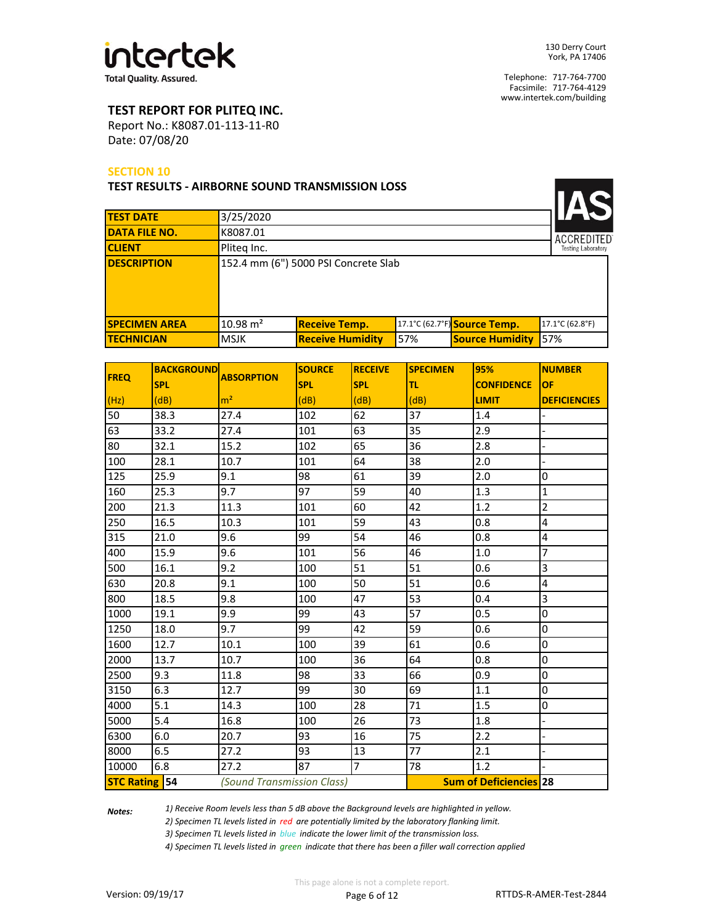

 $\overline{\phantom{a}}$ 

Telephone: 717-764-7700 Facsimile: 717-764-4129 www.intertek.com/building

# **TEST REPORT FOR PLITEQ INC.**

Date: 07/08/20 Report No.: K8087.01-113-11-R0

#### **SECTION 10**

**TEST RESULTS - AIRBORNE SOUND TRANSMISSION LOSS**

| <b>TEST DATE</b>     | 3/25/2020           |                                      |     |                              |                           |
|----------------------|---------------------|--------------------------------------|-----|------------------------------|---------------------------|
| <b>DATA FILE NO.</b> | K8087.01            |                                      |     |                              | <b>ACCREDITED</b>         |
| <b>CLIENT</b>        | Pliteg Inc.         |                                      |     |                              | <b>Testing Laboratory</b> |
| <b>DESCRIPTION</b>   |                     | 152.4 mm (6") 5000 PSI Concrete Slab |     |                              |                           |
| <b>SPECIMEN AREA</b> | $10.98 \text{ m}^2$ | <b>Receive Temp.</b>                 |     | 17.1°C (62.7°F) Source Temp. | 17.1°C (62.8°F)           |
| <b>TECHNICIAN</b>    | <b>MSJK</b>         | <b>Receive Humidity</b>              | 57% | <b>Source Humidity</b>       | 57%                       |

| <b>FREQ</b>          | <b>BACKGROUND</b> | <b>ABSORPTION</b>          | <b>SOURCE</b> | <b>RECEIVE</b> | <b>SPECIMEN</b> | 95%                           | <b>NUMBER</b>       |
|----------------------|-------------------|----------------------------|---------------|----------------|-----------------|-------------------------------|---------------------|
|                      | <b>SPL</b>        |                            | <b>SPL</b>    | <b>SPL</b>     | ltl             | <b>CONFIDENCE</b>             | <b>OF</b>           |
| (Hz)                 | (dB)              | m <sup>2</sup>             | (dB)          | (dB)           | (dB)            | <b>LIMIT</b>                  | <b>DEFICIENCIES</b> |
| 50                   | 38.3              | 27.4                       | 102           | 62             | 37              | 1.4                           |                     |
| 63                   | 33.2              | 27.4                       | 101           | 63             | 35              | 2.9                           |                     |
| 80                   | 32.1              | 15.2                       | 102           | 65             | 36              | 2.8                           |                     |
| 100                  | 28.1              | 10.7                       | 101           | 64             | 38              | 2.0                           |                     |
| 125                  | 25.9              | 9.1                        | 98            | 61             | 39              | 2.0                           | 0                   |
| 160                  | 25.3              | 9.7                        | 97            | 59             | 40              | 1.3                           | $\mathbf 1$         |
| 200                  | 21.3              | 11.3                       | 101           | 60             | 42              | 1.2                           | $\overline{2}$      |
| 250                  | 16.5              | 10.3                       | 101           | 59             | 43              | 0.8                           | 4                   |
| 315                  | 21.0              | 9.6                        | 99            | 54             | 46              | 0.8                           | 4                   |
| 400                  | 15.9              | 9.6                        | 101           | 56             | 46              | 1.0                           | $\overline{7}$      |
| 500                  | 16.1              | 9.2                        | 100           | 51             | 51              | 0.6                           | 3                   |
| 630                  | 20.8              | 9.1                        | 100           | 50             | 51              | 0.6                           | 4                   |
| 800                  | 18.5              | 9.8                        | 100           | 47             | 53              | 0.4                           | $\overline{3}$      |
| 1000                 | 19.1              | 9.9                        | 99            | 43             | 57              | 0.5                           | $\mathsf 0$         |
| 1250                 | 18.0              | 9.7                        | 99            | 42             | 59              | 0.6                           | $\mathsf 0$         |
| 1600                 | 12.7              | 10.1                       | 100           | 39             | 61              | 0.6                           | $\overline{0}$      |
| 2000                 | 13.7              | 10.7                       | 100           | 36             | 64              | 0.8                           | $\mathsf 0$         |
| 2500                 | 9.3               | 11.8                       | 98            | 33             | 66              | 0.9                           | $\overline{0}$      |
| 3150                 | 6.3               | 12.7                       | 99            | 30             | 69              | $1.1\,$                       | $\bf{0}$            |
| 4000                 | 5.1               | 14.3                       | 100           | 28             | 71              | 1.5                           | $\mathbf 0$         |
| 5000                 | 5.4               | 16.8                       | 100           | 26             | 73              | 1.8                           |                     |
| 6300                 | 6.0               | 20.7                       | 93            | 16             | 75              | 2.2                           |                     |
| 8000                 | 6.5               | 27.2                       | 93            | 13             | 77              | 2.1                           |                     |
| 10000                | 6.8               | 27.2                       | 87            | $\overline{7}$ | 78              | 1.2                           |                     |
| <b>STC Rating 54</b> |                   | (Sound Transmission Class) |               |                |                 | <b>Sum of Deficiencies 28</b> |                     |

*Notes:* 

*1) Receive Room levels less than 5 dB above the Background levels are highlighted in yellow.*

*2) Specimen TL levels listed in red are potentially limited by the laboratory flanking limit.*

*3) Specimen TL levels listed in blue indicate the lower limit of the transmission loss.*

*4) Specimen TL levels listed in green indicate that there has been a filler wall correction applied*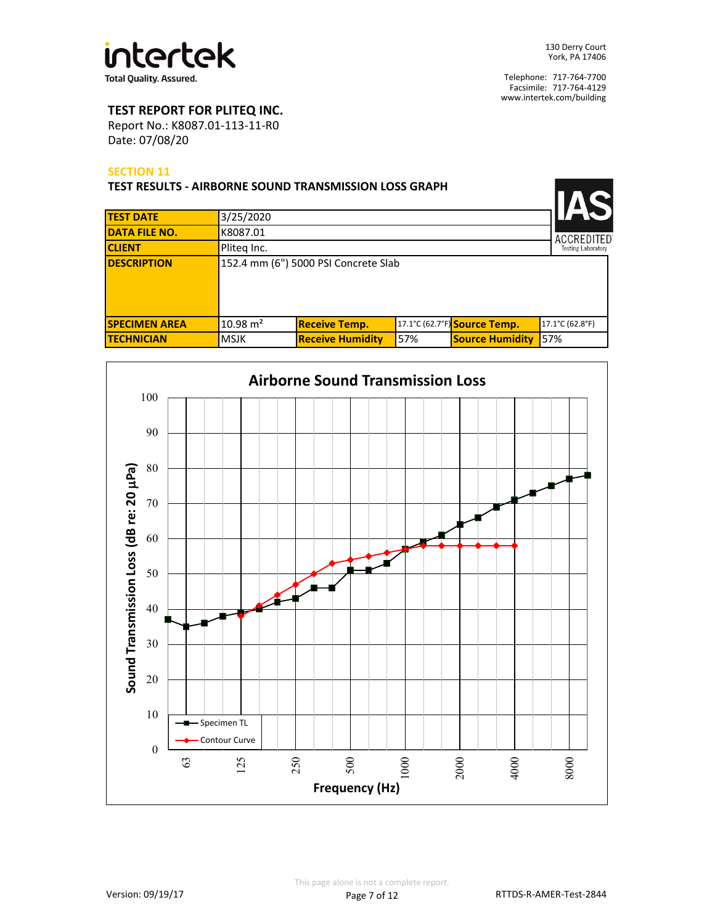

# **TEST REPORT FOR PLITEQ INC.**

Date: 07/08/20 Report No.: K8087.01-113-11-R0

#### **SECTION 11**

| <b>TEST RESULTS - AIRBORNE SOUND TRANSMISSION LOSS GRAPH</b> |                     |                                      |     |                              |                           |
|--------------------------------------------------------------|---------------------|--------------------------------------|-----|------------------------------|---------------------------|
| <b>TEST DATE</b>                                             | 3/25/2020           |                                      |     |                              |                           |
| <b>DATA FILE NO.</b>                                         | K8087.01            |                                      |     |                              | <b>ACCREDITED</b>         |
| <b>CLIENT</b>                                                | Pliteg Inc.         |                                      |     |                              | <b>Testing Laboratory</b> |
| <b>DESCRIPTION</b>                                           |                     | 152.4 mm (6") 5000 PSI Concrete Slab |     |                              |                           |
| <b>SPECIMEN AREA</b>                                         | $10.98 \text{ m}^2$ | <b>Receive Temp.</b>                 |     | 17.1°C (62.7°F) Source Temp. | 17.1°C (62.8°F)           |
| <b>ITECHNICIAN</b>                                           | <b>MSJK</b>         | <b>Receive Humidity</b>              | 57% | <b>Source Humidity</b>       | 57%                       |

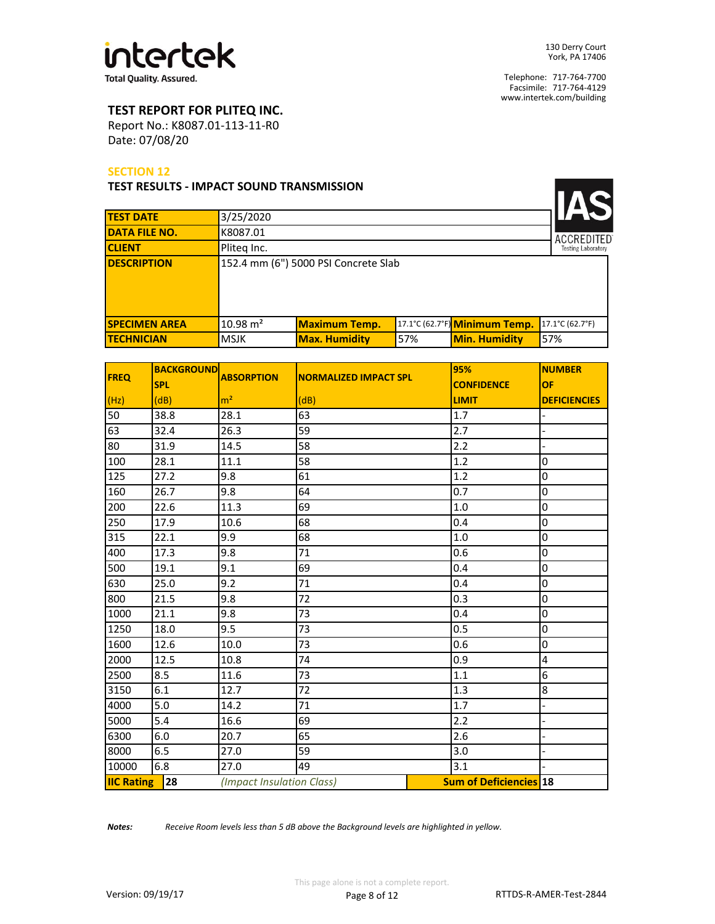

<u> La Ba</u>

Telephone: 717-764-7700 Facsimile: 717-764-4129 www.intertek.com/building

# **TEST REPORT FOR PLITEQ INC.**

Date: 07/08/20 Report No.: K8087.01-113-11-R0

#### **SECTION 12**

#### **TEST RESULTS - IMPACT SOUND TRANSMISSION**

| <b>TEST DATE</b>     | 3/25/2020           |                                      |     |                               |                           |
|----------------------|---------------------|--------------------------------------|-----|-------------------------------|---------------------------|
| <b>DATA FILE NO.</b> | K8087.01            |                                      |     |                               | <b>ACCREDITED</b>         |
| <b>CLIENT</b>        | Pliteg Inc.         |                                      |     |                               | <b>Testing Laboratory</b> |
| <b>DESCRIPTION</b>   |                     | 152.4 mm (6") 5000 PSI Concrete Slab |     |                               |                           |
| <b>SPECIMEN AREA</b> | $10.98 \text{ m}^2$ | <b>Maximum Temp.</b>                 |     | 17.1°C (62.7°F) Minimum Temp. | 17.1°C (62.7°F)           |
| <b>TECHNICIAN</b>    | <b>MSJK</b>         | <b>Max. Humidity</b>                 | 57% | <b>Min. Humidity</b>          | 57%                       |

| <b>FREQ</b>       | <b>BACKGROUND</b> | <b>ABSORPTION</b>         | <b>NORMALIZED IMPACT SPL</b> |     | 95%                           | <b>NUMBER</b>           |
|-------------------|-------------------|---------------------------|------------------------------|-----|-------------------------------|-------------------------|
|                   | <b>SPL</b>        |                           |                              |     | <b>CONFIDENCE</b>             | OF                      |
| (Hz)              | (dB)              | m <sup>2</sup>            | (dB)                         |     | <b>LIMIT</b>                  | <b>DEFICIENCIES</b>     |
| 50                | 38.8              | 28.1                      | 63                           | 1.7 |                               |                         |
| 63                | 32.4              | 26.3                      | 59                           |     | 2.7                           |                         |
| 80                | 31.9              | 14.5                      | 58                           |     | 2.2                           | $\overline{a}$          |
| 100               | 28.1              | 11.1                      | 58                           |     | 1.2                           | $\pmb{0}$               |
| 125               | 27.2              | 9.8                       | 61                           |     | 1.2                           | $\pmb{0}$               |
| 160               | 26.7              | 9.8                       | 64                           |     | 0.7                           | 0                       |
| 200               | 22.6              | 11.3                      | 69                           |     | $1.0$                         | $\mathsf 0$             |
| 250               | 17.9              | 10.6                      | 68                           |     | 0.4                           | $\pmb{0}$               |
| 315               | 22.1              | 9.9                       | 68                           |     | 1.0                           | $\mathsf 0$             |
| 400               | 17.3              | 9.8                       | 71                           |     | 0.6                           | $\mathsf 0$             |
| 500               | 19.1              | 9.1                       | 69                           |     | 0.4                           | $\mathsf 0$             |
| 630               | 25.0              | 9.2                       | 71                           |     | 0.4                           | $\pmb{0}$               |
| 800               | 21.5              | 9.8                       | 72                           |     | 0.3                           | $\mathsf 0$             |
| 1000              | 21.1              | 9.8                       | 73                           |     | 0.4                           | $\mathsf 0$             |
| 1250              | 18.0              | 9.5                       | 73                           |     | 0.5                           | $\pmb{0}$               |
| 1600              | 12.6              | 10.0                      | 73                           |     | 0.6                           | $\pmb{0}$               |
| 2000              | 12.5              | 10.8                      | 74                           |     | 0.9                           | $\overline{\mathbf{4}}$ |
| 2500              | 8.5               | 11.6                      | 73                           |     | 1.1                           | $6\phantom{1}6$         |
| 3150              | 6.1               | 12.7                      | 72                           |     | 1.3                           | $\bf 8$                 |
| 4000              | 5.0               | 14.2                      | 71                           |     | 1.7                           | $\overline{a}$          |
| 5000              | 5.4               | 16.6                      | 69                           |     | 2.2                           | $\overline{a}$          |
| 6300              | 6.0               | 20.7                      | 65                           |     | 2.6                           |                         |
| 8000              | 6.5               | 27.0                      | 59                           |     | 3.0                           |                         |
| 10000             | 6.8               | 27.0                      | 49                           |     | 3.1                           |                         |
| <b>IIC Rating</b> | 28                | (Impact Insulation Class) |                              |     | <b>Sum of Deficiencies 18</b> |                         |

*Notes: Receive Room levels less than 5 dB above the Background levels are highlighted in yellow.*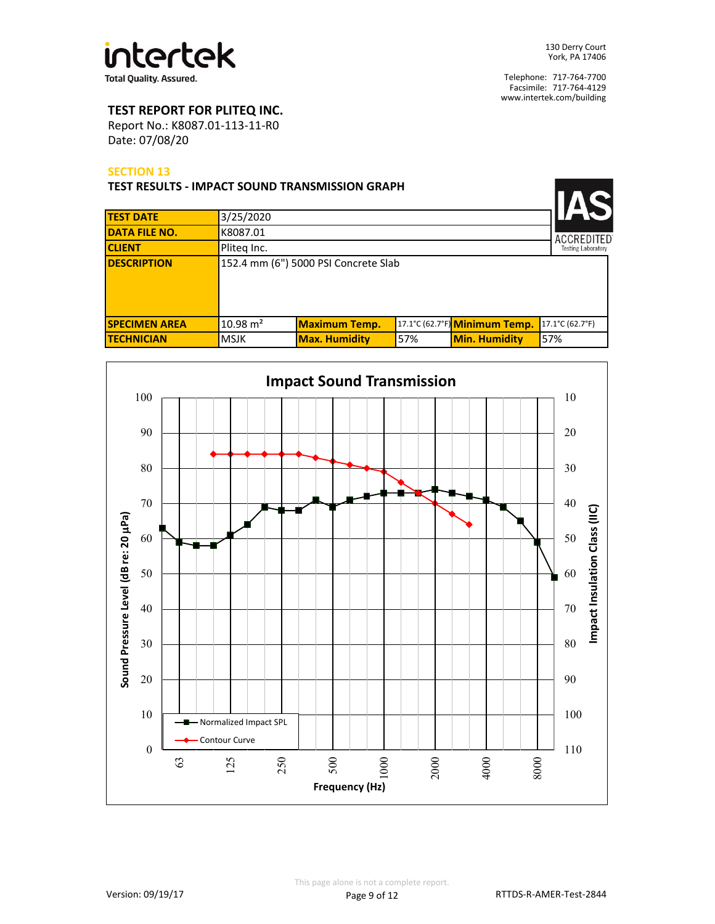

# **TEST REPORT FOR PLITEQ INC.**

Date: 07/08/20 Report No.: K8087.01-113-11-R0

#### **SECTION 13**

| <b>TEST RESULTS - IMPACT SOUND TRANSMISSION GRAPH</b> |                     |                                      |     |                               |                 |
|-------------------------------------------------------|---------------------|--------------------------------------|-----|-------------------------------|-----------------|
| <b>TEST DATE</b>                                      | 3/25/2020           |                                      |     |                               |                 |
| <b>DATA FILE NO.</b>                                  | K8087.01            |                                      |     |                               | ACCREDITED      |
| <b>CLIENT</b>                                         | Pliteg Inc.         |                                      |     | <b>Testing Laboratory</b>     |                 |
| <b>DESCRIPTION</b>                                    |                     | 152.4 mm (6") 5000 PSI Concrete Slab |     |                               |                 |
| <b>SPECIMEN AREA</b>                                  | $10.98 \text{ m}^2$ | <b>Maximum Temp.</b>                 |     | 17.1°C (62.7°F) Minimum Temp. | 17.1°C (62.7°F) |
| <b>ITECHNICIAN</b>                                    | <b>MSJK</b>         | <b>Max. Humidity</b>                 | 57% | <b>Min. Humidity</b>          | 57%             |

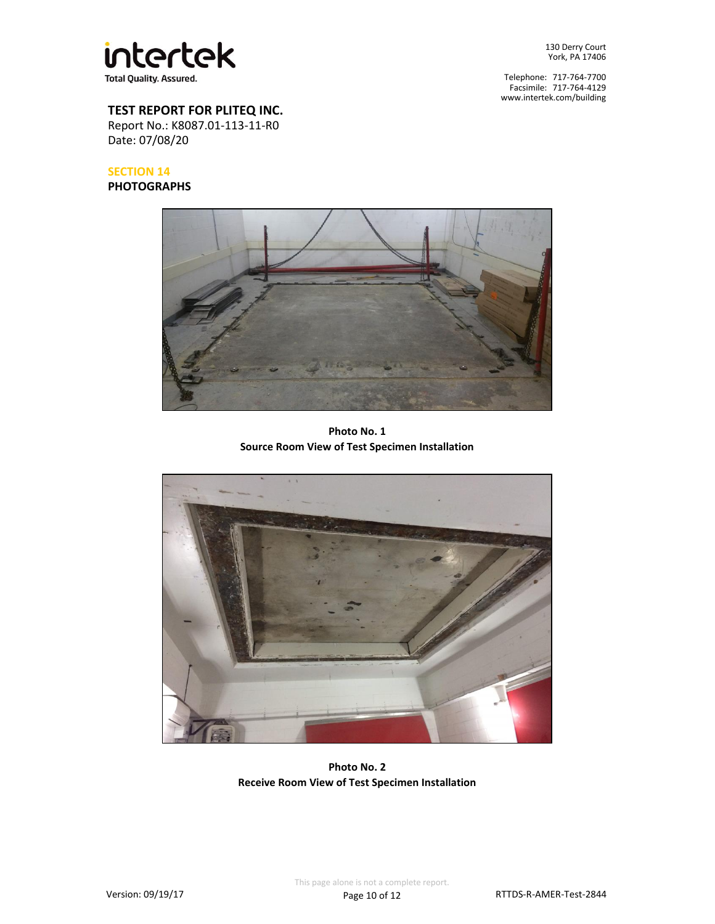

Telephone: 717-764-7700 Facsimile: 717-764-4129 www.intertek.com/building

# **TEST REPORT FOR PLITEQ INC.**

Date: 07/08/20 Report No.: K8087.01-113-11-R0

# **SECTION 14**

**PHOTOGRAPHS**



**Photo No. 1 Source Room View of Test Specimen Installation**



**Photo No. 2 Receive Room View of Test Specimen Installation**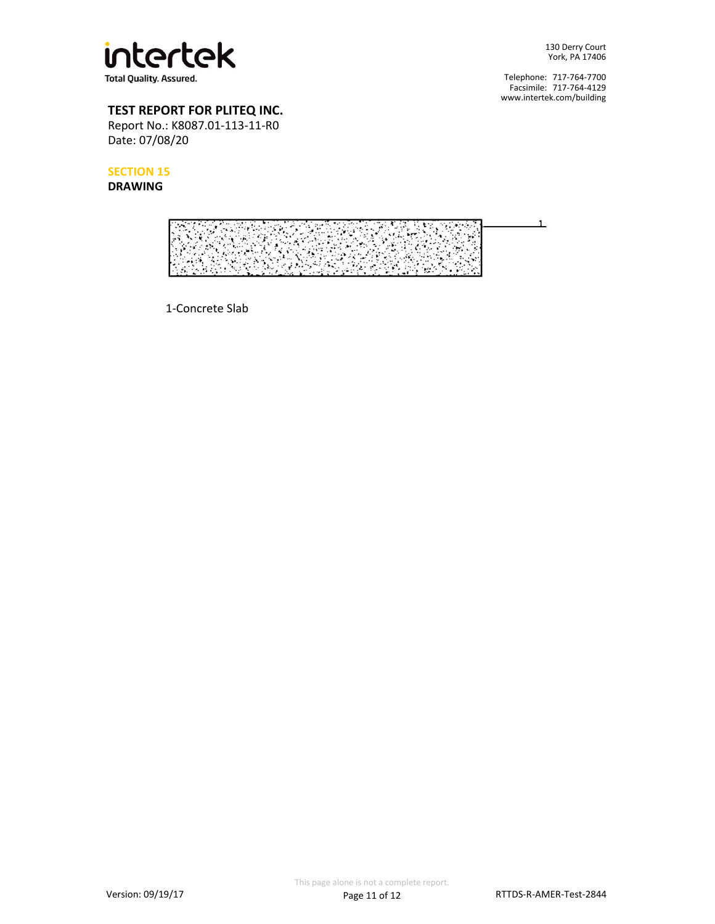

Telephone: 717-764-7700 Facsimile: 717-764-4129 www.intertek.com/building

# **TEST REPORT FOR PLITEQ INC.**

Date: 07/08/20 Report No.: K8087.01-113-11-R0

**SECTION 15**

**DRAWING**



1-Concrete Slab